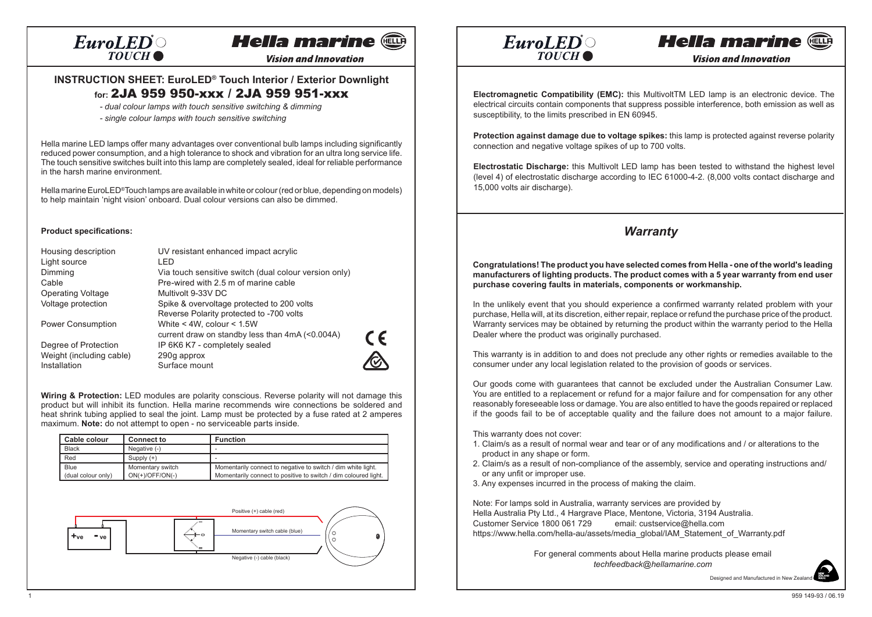# **Hella marine and**

**Vision and Innovation** 

### **INSTRUCTION SHEET: EuroLED® Touch Interior / Exterior Downlight for:** 2JA 959 950-xxx / 2JA 959 951-xxx

*- dual colour lamps with touch sensitive switching & dimming*

*- single colour lamps with touch sensitive switching*

Hella marine LED lamps offer many advantages over conventional bulb lamps including significantly reduced power consumption, and a high tolerance to shock and vibration for an ultra long service life. The touch sensitive switches built into this lamp are completely sealed, ideal for reliable performance in the harsh marine environment.

Hella marine EuroLED®Touch lamps are available in white or colour (red or blue, depending on models) to help maintain 'night vision' onboard. Dual colour versions can also be dimmed.

#### **Product specifications:**

| Housing description      | UV resistant enhanced impact acrylic                  |
|--------------------------|-------------------------------------------------------|
| Light source             | I FD                                                  |
| Dimming                  | Via touch sensitive switch (dual colour version only) |
| Cable                    | Pre-wired with 2.5 m of marine cable                  |
| <b>Operating Voltage</b> | Multivolt 9-33V DC                                    |
| Voltage protection       | Spike & overvoltage protected to 200 volts            |
|                          | Reverse Polarity protected to -700 volts              |
| Power Consumption        | White $<$ 4W, colour $<$ 1.5W                         |
|                          | current draw on standby less than 4mA (<0.004A)       |
| Degree of Protection     | IP 6K6 K7 - completely sealed                         |
| Weight (including cable) | 290g approx                                           |
| Installation             | Surface mount                                         |

 $\epsilon$ 

**Wiring & Protection:** LED modules are polarity conscious. Reverse polarity will not damage this product but will inhibit its function. Hella marine recommends wire connections be soldered and heat shrink tubing applied to seal the joint. Lamp must be protected by a fuse rated at 2 amperes maximum. **Note:** do not attempt to open - no serviceable parts inside.

| Cable colour       | <b>Connect to</b> | <b>Function</b>                                                 |
|--------------------|-------------------|-----------------------------------------------------------------|
| <b>Black</b>       | Negative (-)      |                                                                 |
| Red                | Supply $(+)$      |                                                                 |
| Blue               | Momentary switch  | Momentarily connect to negative to switch / dim white light.    |
| (dual colour only) | $ON(+)/OFF/ON(-)$ | Momentarily connect to positive to switch / dim coloured light. |





# **Hella marine @**

**Vision and Innovation** 

**Electromagnetic Compatibility (EMC):** this MultivoltTM LED lamp is an electronic device. The electrical circuits contain components that suppress possible interference, both emission as well as susceptibility, to the limits prescribed in EN 60945.

**Protection against damage due to voltage spikes:** this lamp is protected against reverse polarity connection and negative voltage spikes of up to 700 volts.

**Electrostatic Discharge:** this Multivolt LED lamp has been tested to withstand the highest level (level 4) of electrostatic discharge according to IEC 61000-4-2. (8,000 volts contact discharge and 15,000 volts air discharge).

## *Warranty*

**Congratulations! The product you have selected comes from Hella - one of the world's leading manufacturers of lighting products. The product comes with a 5 year warranty from end user purchase covering faults in materials, components or workmanship.**

In the unlikely event that you should experience a confirmed warranty related problem with your purchase, Hella will, at its discretion, either repair, replace or refund the purchase price of the product. Warranty services may be obtained by returning the product within the warranty period to the Hella Dealer where the product was originally purchased.

This warranty is in addition to and does not preclude any other rights or remedies available to the consumer under any local legislation related to the provision of goods or services.

Our goods come with guarantees that cannot be excluded under the Australian Consumer Law. You are entitled to a replacement or refund for a major failure and for compensation for any other reasonably foreseeable loss or damage. You are also entitled to have the goods repaired or replaced if the goods fail to be of acceptable quality and the failure does not amount to a major failure.

This warranty does not cover:

- 1. Claim/s as a result of normal wear and tear or of any modifications and / or alterations to the product in any shape or form.
- 2. Claim/s as a result of non-compliance of the assembly, service and operating instructions and/ or any unfit or improper use.
- 3. Any expenses incurred in the process of making the claim.

Note: For lamps sold in Australia, warranty services are provided by Hella Australia Pty Ltd., 4 Hargrave Place, Mentone, Victoria, 3194 Australia. Customer Service 1800 061 729 email: custservice@hella.com https://www.hella.com/hella-au/assets/media\_global/IAM\_Statement\_of\_Warranty.pdf

> For general comments about Hella marine products please email *techfeedback@hellamarine.com*

> > Designed and Manufactured in New Zealand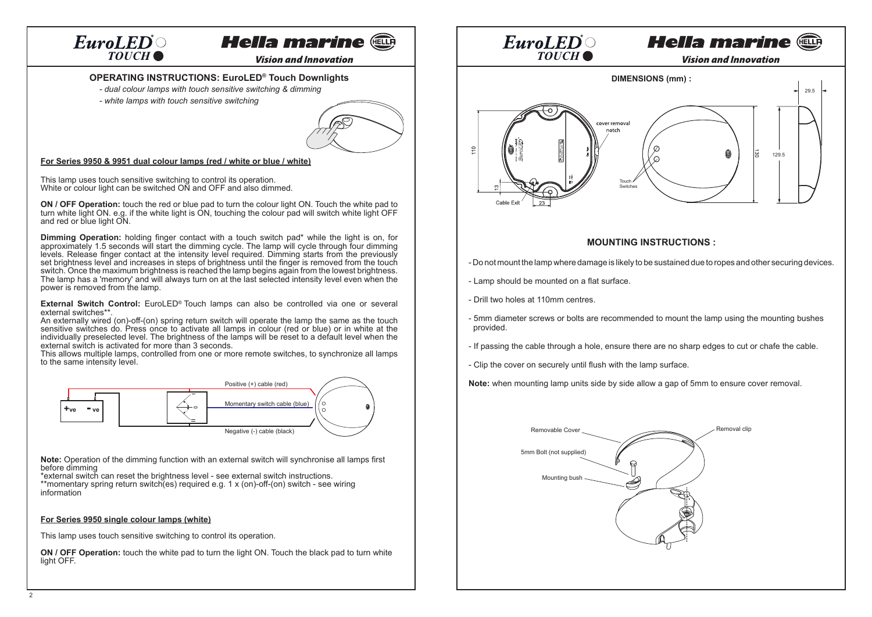## **Hella marine au**

**Vision and Innovation** 

#### **OPERATING INSTRUCTIONS: EuroLED® Touch Downlights**

- *dual colour lamps with touch sensitive switching & dimming*
- *white lamps with touch sensitive switching*



#### **For Series 9950 & 9951 dual colour lamps (red / white or blue / white)**

This lamp uses touch sensitive switching to control its operation. White or colour light can be switched ON and OFF and also dimmed.

**ON / OFF Operation:** touch the red or blue pad to turn the colour light ON. Touch the white pad to turn white light ON. e.g. if the white light is ON, touching the colour pad will switch white light OFF and red or blue light ON.

**Dimming Operation:** holding finger contact with a touch switch pad\* while the light is on, for approximately 1.5 seconds will start the dimming cycle. The lamp will cycle through four dimming levels. Release finger contact at the intensity level required. Dimming starts from the previously set brightness level and increases in steps of brightness until the finger is removed from the touch switch. Once the maximum brightness is reached the lamp begins again from the lowest brightness. The lamp has a 'memory' and will always turn on at the last selected intensity level even when the power is removed from the lamp.

**External Switch Control:** EuroLED® Touch lamps can also be controlled via one or several external switches\*\*.

An externally wired (on)-off-(on) spring return switch will operate the lamp the same as the touch sensitive switches do. Press once to activate all lamps in colour (red or blue) or in white at the individually preselected level. The brightness of the lamps will be reset to a default level when the external switch is activated for more than 3 seconds.

This allows multiple lamps, controlled from one or more remote switches, to synchronize all lamps to the same intensity level.



 **Note:** Operation of the dimming function with an external switch will synchronise all lamps first before dimming

\*external switch can reset the brightness level - see external switch instructions. \*\*momentary spring return switch(es) required e.g. 1 x (on)-off-(on) switch - see wiring information

#### **For Series 9950 single colour lamps (white)**

This lamp uses touch sensitive switching to control its operation.

**ON / OFF Operation:** touch the white pad to turn the light ON. Touch the black pad to turn white light OFF.



#### **MOUNTING INSTRUCTIONS :**

- Do not mount the lamp where damage is likely to be sustained due to ropes and other securing devices.
- Lamp should be mounted on a flat surface.
- Drill two holes at 110mm centres.
- 5mm diameter screws or bolts are recommended to mount the lamp using the mounting bushes provided.
- If passing the cable through a hole, ensure there are no sharp edges to cut or chafe the cable.
- Clip the cover on securely until flush with the lamp surface.

**Note:** when mounting lamp units side by side allow a gap of 5mm to ensure cover removal.

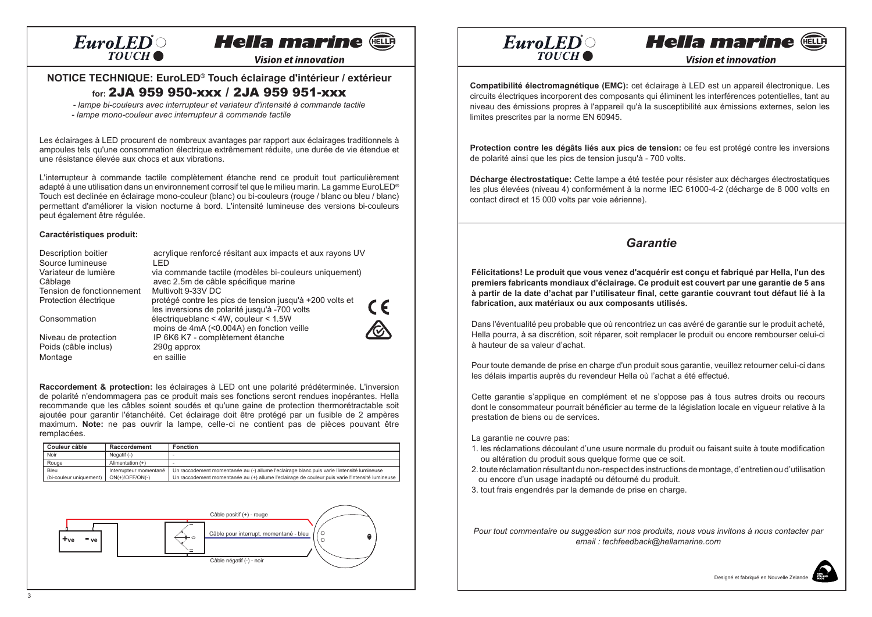# **Hella marine and**

**Vision et innovation** 

## **NOTICE TECHNIQUE: EuroLED® Touch éclairage d'intérieur / extérieur**

## **for:** 2JA 959 950-xxx / 2JA 959 951-xxx

 *- lampe bi-couleurs avec interrupteur et variateur d'intensité à commande tactile - lampe mono-couleur avec interrupteur à commande tactile*

Les éclairages à LED procurent de nombreux avantages par rapport aux éclairages traditionnels à ampoules tels qu'une consommation électrique extrêmement réduite, une durée de vie étendue et une résistance élevée aux chocs et aux vibrations.

L'interrupteur à commande tactile complètement étanche rend ce produit tout particulièrement adapté à une utilisation dans un environnement corrosif tel que le milieu marin. La gamme EuroLED® Touch est declinée en éclairage mono-couleur (blanc) ou bi-couleurs (rouge / blanc ou bleu / blanc) permettant d'améliorer la vision nocturne à bord. L'intensité lumineuse des versions bi-couleurs peut également être régulée.

#### **Caractéristiques produit:**

| <b>Description boitier</b> | acrylique renforcé résitant aux impacts et aux rayons UV |            |
|----------------------------|----------------------------------------------------------|------------|
| Source lumineuse           | I FD                                                     |            |
| Variateur de lumière       | via commande tactile (modèles bi-couleurs uniquement)    |            |
| Câblage                    | avec 2.5m de câble spécifique marine                     |            |
| Tension de fonctionnement  | Multivolt 9-33V DC                                       |            |
| Protection électrique      | protégé contre les pics de tension jusqu'à +200 volts et |            |
|                            | les inversions de polarité jusqu'à -700 volts            | $\epsilon$ |
| Consommation               | électriqueblanc < 4W, couleur < $1.5W$                   |            |
|                            | moins de 4mA (<0.004A) en fonction veille                |            |
| Niveau de protection       | IP 6K6 K7 - complètement étanche                         |            |
| Poids (câble inclus)       | 290g approx                                              |            |
| Montage                    | en saillie                                               |            |

**Raccordement & protection:** les éclairages à LED ont une polarité prédéterminée. L'inversion de polarité n'endommagera pas ce produit mais ses fonctions seront rendues inopérantes. Hella recommande que les câbles soient soudés et qu'une gaine de protection thermorétractable soit ajoutée pour garantir l'étanchéité. Cet éclairage doit être protégé par un fusible de 2 ampères maximum. **Note:** ne pas ouvrir la lampe, celle-ci ne contient pas de pièces pouvant être remplacées.

| Couleur câble           | Raccordement           | Fonction                                                                                        |
|-------------------------|------------------------|-------------------------------------------------------------------------------------------------|
| Noir                    | Negatif $(-)$          |                                                                                                 |
| Rouge                   | Alimentation $(+)$     |                                                                                                 |
| Bleu                    | Interrupteur momentané | Un raccodement momentanée au (-) allume l'eclairage blanc puis varie l'intensité lumineuse      |
| (bi-couleur uniquement) | $ON(+)/OFF/ON(-)$      | Un raccodement momentanée au (+) allume l'eclairage de couleur puis varie l'intensité lumineuse |





**Vision et innovation** 

**Hella marine and** 

**Compatibilité électromagnétique (EMC):** cet éclairage à LED est un appareil électronique. Les circuits électriques incorporent des composants qui éliminent les interférences potentielles, tant au niveau des émissions propres à l'appareil qu'à la susceptibilité aux émissions externes, selon les limites prescrites par la norme EN 60945.

**Protection contre les dégâts liés aux pics de tension:** ce feu est protégé contre les inversions de polarité ainsi que les pics de tension jusqu'à - 700 volts.

Décharge électrostatique: Cette lampe a été testée pour résister aux décharges électrostatiques les plus élevées (niveau 4) conformément à la norme IEC 61000-4-2 (décharge de 8 000 volts en contact direct et 15 000 volts par voie aérienne).

### *Garantie*

**Félicitations! Le produit que vous venez d'acquérir est conçu et fabriqué par Hella, l'un des premiers fabricants mondiaux d'éclairage. Ce produit est couvert par une garantie de 5 ans à partir de la date d'achat par l'utilisateur final, cette garantie couvrant tout défaut lié à la fabrication, aux matériaux ou aux composants utilisés.**

Dans l'éventualité peu probable que où rencontriez un cas avéré de garantie sur le produit acheté, Hella pourra, à sa discrétion, soit réparer, soit remplacer le produit ou encore rembourser celui-ci à hauteur de sa valeur d'achat.

Pour toute demande de prise en charge d'un produit sous garantie, veuillez retourner celui-ci dans les délais impartis auprès du revendeur Hella où l'achat a été effectué.

Cette garantie s'applique en complément et ne s'oppose pas à tous autres droits ou recours dont le consommateur pourrait bénéficier au terme de la législation locale en vigueur relative à la prestation de biens ou de services.

La garantie ne couvre pas:

- 1. les réclamations découlant d'une usure normale du produit ou faisant suite à toute modification ou altération du produit sous quelque forme que ce soit.
- 2. toute réclamation résultant du non-respect des instructions de montage, d'entretien ou d'utilisation ou encore d'un usage inadapté ou détourné du produit.
- 3. tout frais engendrés par la demande de prise en charge.

*Pour tout commentaire ou suggestion sur nos produits, nous vous invitons à nous contacter par email : techfeedback@hellamarine.com*